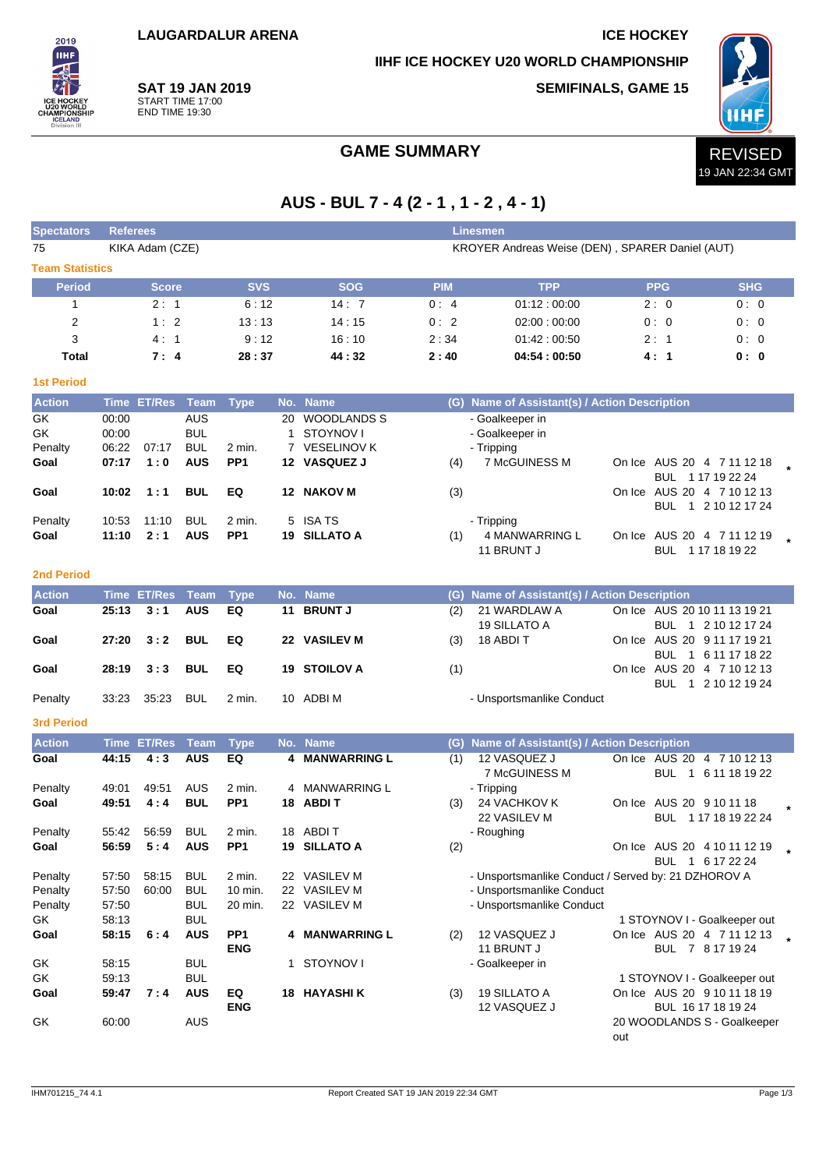**LAUGARDALUR ARENA ICE HOCKEY**

**IIHF ICE HOCKEY U20 WORLD CHAMPIONSHIP**

**SEMIFINALS, GAME 15**



**SAT 19 JAN 2019** START TIME 17:00 END TIME 19:30

2019 **IIHF** 

## GAME SUMMARY **REVISED**

# **AUS - BUL 7 - 4 (2 - 1 , 1 - 2 , 4 - 1)**

| <b>Spectators</b>      | <b>Referees</b> |                    |                          |                 |              |                     |            | <b>Linesmen</b>                                     |     |            |                                                 |  |
|------------------------|-----------------|--------------------|--------------------------|-----------------|--------------|---------------------|------------|-----------------------------------------------------|-----|------------|-------------------------------------------------|--|
| 75                     |                 | KIKA Adam (CZE)    |                          |                 |              |                     |            | KROYER Andreas Weise (DEN), SPARER Daniel (AUT)     |     |            |                                                 |  |
| <b>Team Statistics</b> |                 |                    |                          |                 |              |                     |            |                                                     |     |            |                                                 |  |
| <b>Period</b>          |                 | <b>Score</b>       |                          | <b>SVS</b>      |              | <b>SOG</b>          | <b>PIM</b> | <b>TPP</b>                                          |     | <b>PPG</b> | <b>SHG</b>                                      |  |
| $\mathbf{1}$           |                 | 2:1                |                          | 6:12            |              | 14:7                | 0:4        | 01:12:00:00                                         |     | 2:0        | 0:0                                             |  |
| 2                      |                 | 1:2                |                          | 13:13           |              | 14:15               | 0:2        | 02:00:00:00                                         |     | 0:0        | 0:0                                             |  |
| 3                      |                 | 4:1                |                          | 9:12            |              | 16:10               | 2:34       | 01:42:00:50                                         |     | 2:1        | 0:0                                             |  |
| Total                  |                 | 7:4                |                          | 28:37           |              | 44:32               | 2:40       | 04:54:00:50                                         |     | 4:1        | 0: 0                                            |  |
| <b>1st Period</b>      |                 |                    |                          |                 |              |                     |            |                                                     |     |            |                                                 |  |
| <b>Action</b>          |                 | Time ET/Res        | Team                     | <b>Type</b>     |              | No. Name            |            | (G) Name of Assistant(s) / Action Description       |     |            |                                                 |  |
| GK                     | 00:00           |                    | <b>AUS</b>               |                 |              | 20 WOODLANDS S      |            | - Goalkeeper in                                     |     |            |                                                 |  |
| GK                     | 00:00           |                    | <b>BUL</b>               |                 | $\mathbf{1}$ | STOYNOV I           |            | - Goalkeeper in                                     |     |            |                                                 |  |
| Penalty                | 06:22           | 07:17              | <b>BUL</b>               | 2 min.          |              | 7 VESELINOV K       |            | - Tripping                                          |     |            |                                                 |  |
| Goal                   | 07:17           | 1:0                | <b>AUS</b>               | PP1             |              | 12 VASQUEZ J        | (4)        | 7 McGUINESS M                                       |     |            | On Ice AUS 20 4 7 11 12 18                      |  |
| Goal                   | 10:02           | 1:1                | <b>BUL</b>               | EQ              |              | 12 NAKOV M          |            |                                                     |     |            | BUL 1 17 19 22 24<br>On Ice AUS 20 4 7 10 12 13 |  |
|                        |                 |                    |                          |                 |              |                     | (3)        |                                                     |     |            | BUL 1 2 10 12 17 24                             |  |
| Penalty                | 10:53           | 11:10              | <b>BUL</b>               | 2 min.          |              | 5 ISA TS            |            | - Tripping                                          |     |            |                                                 |  |
| Goal                   | 11:10           | 2:1                | <b>AUS</b>               | PP <sub>1</sub> |              | 19 SILLATO A        | (1)        | <b>4 MANWARRING L</b>                               |     |            | On Ice AUS 20 4 7 11 12 19                      |  |
|                        |                 |                    |                          |                 |              |                     |            | 11 BRUNT J                                          |     |            | BUL 1 17 18 19 22                               |  |
| <b>2nd Period</b>      |                 |                    |                          |                 |              |                     |            |                                                     |     |            |                                                 |  |
| <b>Action</b>          |                 | <b>Time ET/Res</b> | <b>Team</b>              | <b>Type</b>     |              | No. Name            |            | (G) Name of Assistant(s) / Action Description       |     |            |                                                 |  |
| Goal                   | 25:13           | 3:1                | <b>AUS</b>               | EQ              | 11           | <b>BRUNT J</b>      | (2)        | 21 WARDLAW A                                        |     |            | On Ice AUS 20 10 11 13 19 21                    |  |
|                        |                 |                    |                          |                 |              |                     |            | 19 SILLATO A                                        |     |            | BUL 1 2 10 12 17 24                             |  |
| Goal                   | 27:20           | 3:2                | <b>BUL</b>               | EQ              |              | 22 VASILEV M        | (3)        | 18 ABDI T                                           |     |            | On Ice AUS 20 9 11 17 19 21                     |  |
|                        |                 |                    |                          |                 |              |                     |            |                                                     |     |            | BUL 1 6 11 17 18 22                             |  |
| Goal                   | 28:19           | 3:3                | <b>BUL</b>               | EQ              |              | 19 STOILOV A        | (1)        |                                                     |     |            | On Ice AUS 20 4 7 10 12 13                      |  |
| Penalty                | 33:23           | 35:23              | <b>BUL</b>               | 2 min.          |              | 10 ADBI M           |            | - Unsportsmanlike Conduct                           |     |            | BUL 1 2 10 12 19 24                             |  |
|                        |                 |                    |                          |                 |              |                     |            |                                                     |     |            |                                                 |  |
| <b>3rd Period</b>      |                 |                    |                          |                 |              |                     |            |                                                     |     |            |                                                 |  |
| <b>Action</b>          |                 | <b>Time ET/Res</b> | <b>Team</b>              | <b>Type</b>     |              | No. Name            |            | (G) Name of Assistant(s) / Action Description       |     |            |                                                 |  |
| Goal                   | 44:15           | 4:3                | <b>AUS</b>               | EQ              | 4            | <b>MANWARRING L</b> | (1)        | 12 VASQUEZ J<br>7 McGUINESS M                       |     | <b>BUL</b> | On Ice AUS 20 4 7 10 12 13<br>1 6 11 18 19 22   |  |
| Penalty                | 49:01           | 49.51              | AUS                      | 2 min.          |              | 4 MANWARRING L      |            | - Tripping                                          |     |            |                                                 |  |
| Goal                   | 49:51           | 4:4                | <b>BUL</b>               | PP <sub>1</sub> |              | 18 ABDIT            | (3)        | 24 VACHKOV K                                        |     |            | On Ice AUS 20 9 10 11 18                        |  |
|                        |                 |                    |                          |                 |              |                     |            | 22 VASILEV M                                        |     |            | BUL 1 17 18 19 22 24                            |  |
| Penalty                | 55:42           | 56:59              | <b>BUL</b>               | 2 min.          |              | 18 ABDIT            |            | - Roughing                                          |     |            |                                                 |  |
| Goal                   | 56:59           | 5:4                | <b>AUS</b>               | PP <sub>1</sub> |              | 19 SILLATO A        | (2)        |                                                     |     |            | On Ice AUS 20 4 10 11 12 19<br>BUL 1 6 17 22 24 |  |
| Penalty                | 57:50           | 58:15              | <b>BUL</b>               | 2 min.          |              | 22 VASILEV M        |            | - Unsportsmanlike Conduct / Served by: 21 DZHOROV A |     |            |                                                 |  |
| Penalty                | 57:50           | 60:00              | <b>BUL</b>               | 10 min.         |              | 22 VASILEV M        |            | - Unsportsmanlike Conduct                           |     |            |                                                 |  |
| Penalty                | 57:50           |                    | <b>BUL</b>               | 20 min.         |              | 22 VASILEV M        |            | - Unsportsmanlike Conduct                           |     |            |                                                 |  |
| GK                     | 58:13           |                    | <b>BUL</b>               |                 |              |                     |            |                                                     |     |            | 1 STOYNOV I - Goalkeeper out                    |  |
| Goal                   | 58:15           | 6:4                | <b>AUS</b>               | PP <sub>1</sub> |              | 4 MANWARRING L      | (2)        | 12 VASQUEZ J                                        |     |            | On Ice AUS 20 4 7 11 12 13                      |  |
|                        |                 |                    |                          | <b>ENG</b>      |              |                     |            | 11 BRUNT J                                          |     |            | BUL 7 8 17 19 24                                |  |
| GK<br>GK               | 58:15<br>59:13  |                    | <b>BUL</b><br><b>BUL</b> |                 | 1            | STOYNOV I           |            | - Goalkeeper in                                     |     |            | 1 STOYNOV I - Goalkeeper out                    |  |
| Goal                   | 59:47           | 7:4                | <b>AUS</b>               | EQ              |              | <b>18 HAYASHIK</b>  | (3)        | 19 SILLATO A                                        |     |            | On Ice AUS 20 9 10 11 18 19                     |  |
|                        |                 |                    |                          | <b>ENG</b>      |              |                     |            | 12 VASQUEZ J                                        |     |            | BUL 16 17 18 19 24                              |  |
| GK                     | 60:00           |                    | <b>AUS</b>               |                 |              |                     |            |                                                     |     |            | 20 WOODLANDS S - Goalkeeper                     |  |
|                        |                 |                    |                          |                 |              |                     |            |                                                     | out |            |                                                 |  |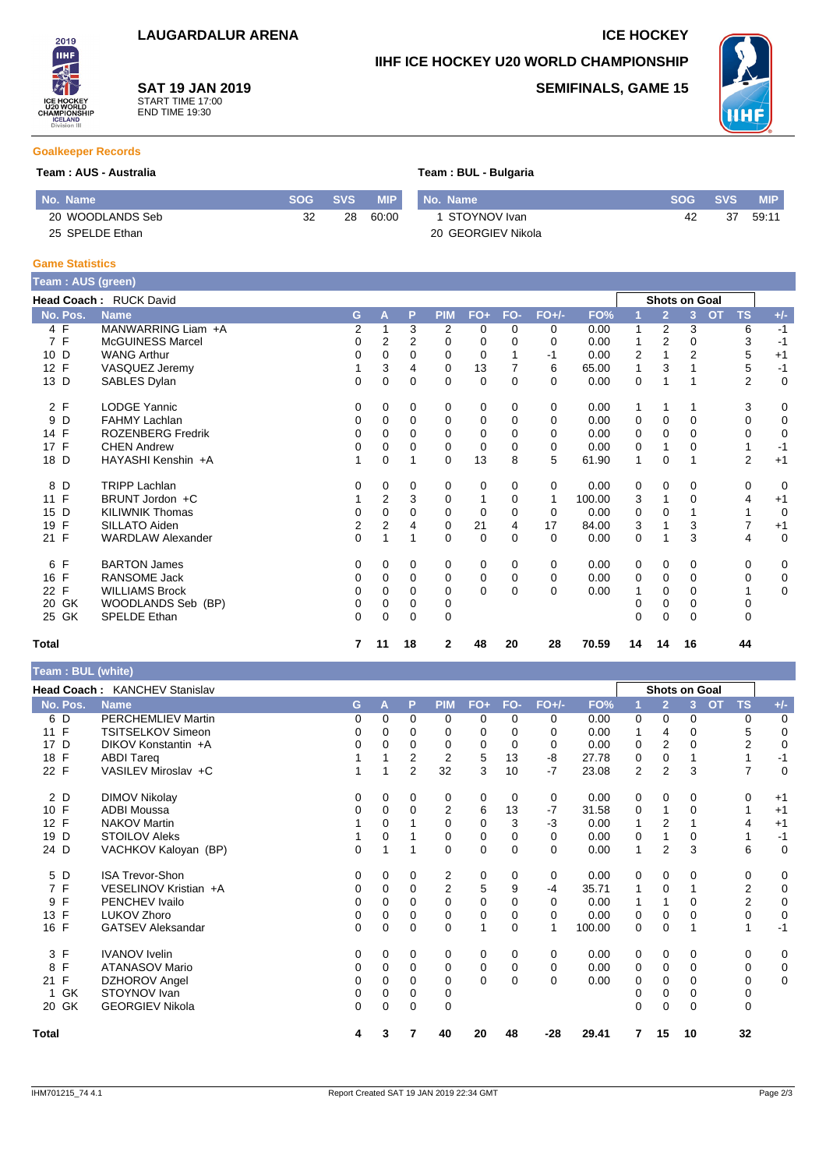**SAT 19 JAN 2019** START TIME 17:00 END TIME 19:30

### **IIHF ICE HOCKEY U20 WORLD CHAMPIONSHIP**

**SEMIFINALS, GAME 15**



#### **Goalkeeper Records**

2019 **IIHF** 

#### **Team : AUS - Australia Team : BUL - Bulgaria**

| No. Name         |    | SOG SVS | <b>MIP</b> | No. Name           | <b>SOG SVS</b> |    | <b>MIP</b> |
|------------------|----|---------|------------|--------------------|----------------|----|------------|
| 20 WOODLANDS Seb | 32 | 28      | 60:00      | 1 STOYNOV Ivan     | 42             | 37 | 59:11      |
| 25 SPELDE Ethan  |    |         |            | 20 GEORGIEV Nikola |                |    |            |

#### **Game Statistics**

I

| Team : AUS (green) |                          |                |                |          |              |          |          |          |        |                |                      |                |           |                |             |
|--------------------|--------------------------|----------------|----------------|----------|--------------|----------|----------|----------|--------|----------------|----------------------|----------------|-----------|----------------|-------------|
|                    | Head Coach: RUCK David   |                |                |          |              |          |          |          |        |                | <b>Shots on Goal</b> |                |           |                |             |
| No. Pos.           | <b>Name</b>              | G.             | А              | P        | <b>PIM</b>   | $FO+$    | FO-      | $FO+/-$  | FO%    |                | $\overline{2}$       | 3              | <b>OT</b> | <b>TS</b>      | $+/-$       |
| 4 F                | MANWARRING Liam +A       | 2              |                | 3        | 2            | 0        | $\Omega$ | 0        | 0.00   | 1              | 2                    | 3              |           | 6              | $-1$        |
| 7 F                | McGUINESS Marcel         | 0              | 2              | 2        | 0            | 0        | 0        | 0        | 0.00   |                | 2                    | 0              |           | 3              | $-1$        |
| 10 D               | <b>WANG Arthur</b>       | 0              | 0              | 0        | $\Omega$     | 0        |          | -1       | 0.00   | $\overline{2}$ |                      | $\overline{2}$ |           | 5              | $+1$        |
| 12 F               | VASQUEZ Jeremy           |                | 3              | 4        | 0            | 13       |          | 6        | 65.00  | 1              | 3                    |                |           | 5              | $-1$        |
| 13 D               | SABLES Dylan             | 0              | $\Omega$       | $\Omega$ | 0            | 0        | $\Omega$ | 0        | 0.00   | 0              |                      |                |           | $\overline{2}$ | $\mathbf 0$ |
| 2 F                | <b>LODGE Yannic</b>      | 0              | 0              | 0        | 0            | 0        | $\Omega$ | 0        | 0.00   | 1              |                      |                |           | 3              | 0           |
| D<br>9             | <b>FAHMY Lachlan</b>     | 0              | 0              | 0        | 0            | 0        | 0        | 0        | 0.00   | 0              | 0                    | 0              |           | 0              | 0           |
| 14 F               | <b>ROZENBERG Fredrik</b> | 0              | $\Omega$       | $\Omega$ | $\Omega$     | $\Omega$ | 0        | 0        | 0.00   | 0              | 0                    | 0              |           | 0              | 0           |
| 17 F               | <b>CHEN Andrew</b>       | 0              | $\Omega$       | 0        | 0            | 0        | 0        | 0        | 0.00   | 0              |                      | 0              |           |                | $-1$        |
| 18 D               | HAYASHI Kenshin +A       | 1              | $\mathbf 0$    |          | $\Omega$     | 13       | 8        | 5        | 61.90  | 1              | $\mathbf 0$          |                |           | $\overline{2}$ | $+1$        |
| D<br>8             | <b>TRIPP Lachlan</b>     | 0              | 0              | 0        | 0            | 0        | $\Omega$ | 0        | 0.00   | 0              | 0                    | 0              |           | 0              | 0           |
| $\mathsf{F}$<br>11 | BRUNT Jordon +C          |                | $\overline{2}$ | 3        | 0            | 1        | 0        | 1        | 100.00 | 3              |                      | 0              |           | 4              | $+1$        |
| D<br>15            | <b>KILIWNIK Thomas</b>   | 0              | $\Omega$       | $\Omega$ | $\Omega$     | $\Omega$ | 0        | 0        | 0.00   | 0              | $\Omega$             |                |           |                | 0           |
| F<br>19            | SILLATO Aiden            | 2              | 2              | 4        | 0            | 21       | 4        | 17       | 84.00  | 3              |                      | 3              |           | 7              | $+1$        |
| 21 F               | <b>WARDLAW Alexander</b> | $\overline{0}$ | 1              | 1        | $\Omega$     | $\Omega$ | $\Omega$ | 0        | 0.00   | $\Omega$       |                      | 3              |           | $\overline{4}$ | $\mathbf 0$ |
| F<br>6             | <b>BARTON James</b>      | 0              | 0              | 0        | 0            | 0        | 0        | 0        | 0.00   | $\mathbf 0$    | 0                    | 0              |           | 0              | 0           |
| 16 F               | <b>RANSOME Jack</b>      | 0              | 0              | 0        | 0            | 0        | 0        | 0        | 0.00   | 0              | $\Omega$             | 0              |           | 0              | 0           |
| $\mathsf{F}$<br>22 | <b>WILLIAMS Brock</b>    | 0              | $\Omega$       | 0        | 0            | $\Omega$ | $\Omega$ | $\Omega$ | 0.00   |                | $\Omega$             | 0              |           |                | 0           |
| GK<br>20           | WOODLANDS Seb (BP)       | 0              | 0              | 0        | 0            |          |          |          |        | 0              | 0                    | 0              |           | 0              |             |
| 25 GK              | <b>SPELDE Ethan</b>      | $\Omega$       | $\Omega$       | $\Omega$ | 0            |          |          |          |        | 0              | $\Omega$             | 0              |           | 0              |             |
| <b>Total</b>       |                          | 7              | 11             | 18       | $\mathbf{2}$ | 48       | 20       | 28       | 70.59  | 14             | 14                   | 16             |           | 44             |             |

|  | Team: BUL (white) |
|--|-------------------|

| $1$ can . DVL (will $\psi$ ) |                               |             |          |                |                |              |          |         |        |                |                |                      |                        |             |
|------------------------------|-------------------------------|-------------|----------|----------------|----------------|--------------|----------|---------|--------|----------------|----------------|----------------------|------------------------|-------------|
|                              | Head Coach: KANCHEV Stanislav |             |          |                |                |              |          |         |        |                |                | <b>Shots on Goal</b> |                        |             |
| No. Pos.                     | <b>Name</b>                   | G           | A        | P              | <b>PIM</b>     | $FO+$        | FO-      | $FO+/-$ | FO%    |                | $\overline{2}$ | 3                    | <b>TS</b><br><b>OT</b> | $+/-$       |
| 6 D                          | <b>PERCHEMLIEV Martin</b>     | 0           | 0        | $\Omega$       | $\Omega$       | $\Omega$     | $\Omega$ | 0       | 0.00   | 0              | 0              | $\Omega$             | 0                      | $\mathbf 0$ |
| 11 F                         | TSITSELKOV Simeon             | 0           | 0        | $\Omega$       | 0              | 0            | $\Omega$ | 0       | 0.00   |                | 4              | $\Omega$             | 5                      | 0           |
| 17 D                         | DIKOV Konstantin +A           | 0           | 0        | $\Omega$       | 0              | 0            | $\Omega$ | 0       | 0.00   | 0              | 2              | 0                    | $\overline{2}$         | 0           |
| 18 F                         | <b>ABDI Tareg</b>             |             |          | 2              | $\overline{2}$ | 5            | 13       | -8      | 27.78  | 0              | 0              |                      | 1                      | $-1$        |
| 22 F                         | VASILEV Miroslav +C           |             |          | $\overline{2}$ | 32             | $\mathbf{3}$ | 10       | $-7$    | 23.08  | $\overline{2}$ | $\overline{2}$ | 3                    | $\overline{7}$         | 0           |
| 2 D                          | <b>DIMOV Nikolay</b>          | 0           | 0        | $\mathbf 0$    | 0              | 0            | 0        | 0       | 0.00   | 0              | 0              | $\Omega$             | 0                      | $+1$        |
| 10 F                         | <b>ADBI Moussa</b>            | 0           | 0        | $\mathbf 0$    | 2              | 6            | 13       | $-7$    | 31.58  | 0              | 1              | $\Omega$             | 1                      | $+1$        |
| 12 F                         | <b>NAKOV Martin</b>           |             | 0        |                | $\Omega$       | $\Omega$     | 3        | -3      | 0.00   |                | 2              |                      | 4                      | $+1$        |
| 19<br>D                      | <b>STOILOV Aleks</b>          |             | 0        |                | 0              | 0            | 0        | 0       | 0.00   | 0              |                | $\Omega$             | 1                      | $-1$        |
| 24 D                         | VACHKOV Kaloyan (BP)          | 0           | 1        |                | $\mathbf 0$    | $\pmb{0}$    | $\Omega$ | 0       | 0.00   |                | $\overline{2}$ | 3                    | 6                      | $\mathbf 0$ |
| 5 D                          | <b>ISA Trevor-Shon</b>        | 0           | 0        | 0              | $\overline{2}$ | 0            | 0        | 0       | 0.00   | 0              | 0              | 0                    | 0                      | 0           |
| 7 F                          | VESELINOV Kristian +A         | 0           | 0        | $\mathbf 0$    | $\overline{2}$ | 5            | 9        | -4      | 35.71  |                | 0              |                      | $\overline{2}$         | 0           |
| F<br>9                       | PENCHEV Ivailo                | $\Omega$    | 0        | $\Omega$       | $\Omega$       | $\mathbf 0$  | $\Omega$ | 0       | 0.00   |                |                | $\Omega$             | $\overline{2}$         | 0           |
| F<br>13                      | LUKOV Zhoro                   | 0           | 0        | 0              | 0              | 0            | 0        | 0       | 0.00   | 0              | 0              | 0                    | 0                      | 0           |
| 16 F                         | <b>GATSEV Aleksandar</b>      | $\mathbf 0$ | 0        | $\mathbf 0$    | 0              | 1            | $\Omega$ | 1       | 100.00 | 0              | 0              |                      | 1                      | $-1$        |
| 3 F                          | <b>IVANOV</b> Ivelin          | 0           | 0        | $\mathbf 0$    | 0              | 0            | 0        | 0       | 0.00   | 0              | 0              | 0                    | 0                      | 0           |
| F<br>8                       | <b>ATANASOV Mario</b>         | 0           | 0        | $\Omega$       | 0              | $\mathbf 0$  | $\Omega$ | 0       | 0.00   | 0              | 0              | $\Omega$             | 0                      | $\mathbf 0$ |
| F<br>21                      | DZHOROV Angel                 | 0           | $\Omega$ | $\Omega$       | 0              | $\mathbf 0$  | $\Omega$ | 0       | 0.00   | $\Omega$       | $\Omega$       | 0                    | 0                      | $\mathbf 0$ |
| GK                           | STOYNOV Ivan                  | 0           | 0        | 0              | 0              |              |          |         |        | 0              | 0              | 0                    | 0                      |             |
| 20 GK                        | <b>GEORGIEV Nikola</b>        | $\Omega$    | 0        | $\mathbf 0$    | $\mathbf 0$    |              |          |         |        | 0              | 0              | $\Omega$             | $\mathbf 0$            |             |
| Total                        |                               | 4           | 3        |                | 40             | 20           | 48       | $-28$   | 29.41  |                | 15             | 10                   | 32                     |             |